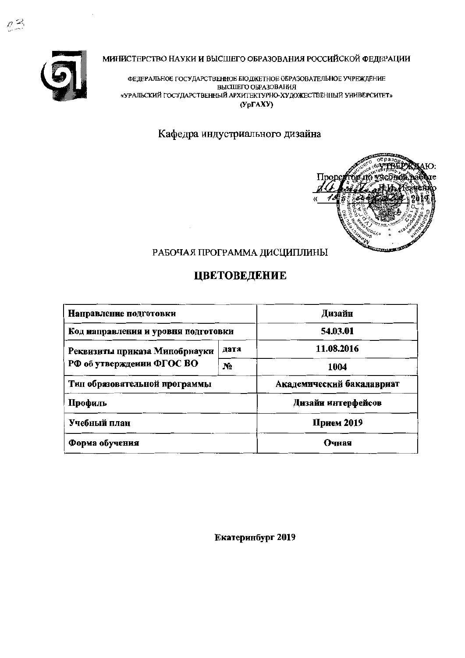МИНИСТЕРСТВО НАУКИ И ВЫСШЕГО ОБРАЗОВАНИЯ РОССИЙСКОЙ ФЕДЕРАЦИИ



 $\rho \asymp$ 

ФЕДЕРАЛЬНОЕ ГОСУДАРСТВЕННОЕ БЮДЖЕТНОЕ ОБРАЗОВАТЕЛЬНОЕ УЧРЕЖДЕНИЕ ВЫСШЕГО ОБРАЗОВАНИЯ «УРАЛЬСКИЙ ГОСУДАРСТВЕННЫЙ АРХИТЕКТУРНО-ХУДОЖЕСТВЕННЫЙ УНИВЕРСИТЕТ»  $(Yp\Gamma AXY)$ 

Кафедра индустриального дизайна



# РАБОЧАЯ ПРОГРАММА ДИСЦИПЛИНЫ

# ЦВЕТОВЕДЕНИЕ

| Направление подготовки              | Дизайн         |                           |  |  |
|-------------------------------------|----------------|---------------------------|--|--|
| Код направления и уровня подготовки | 54.03.01       |                           |  |  |
| Реквизиты приказа Минобрнауки       | дата           | 11.08.2016                |  |  |
| РФ об утвержденин ФГОС ВО           | N <sub>2</sub> | 1004                      |  |  |
| Тип образовательной программы       |                | Академический бакалавриат |  |  |
| Профиль                             |                | Дизайи интерфейсов        |  |  |
| Учебный план                        | Прием 2019     |                           |  |  |
| Форма обучения                      | Очная          |                           |  |  |

Екатеринбург 2019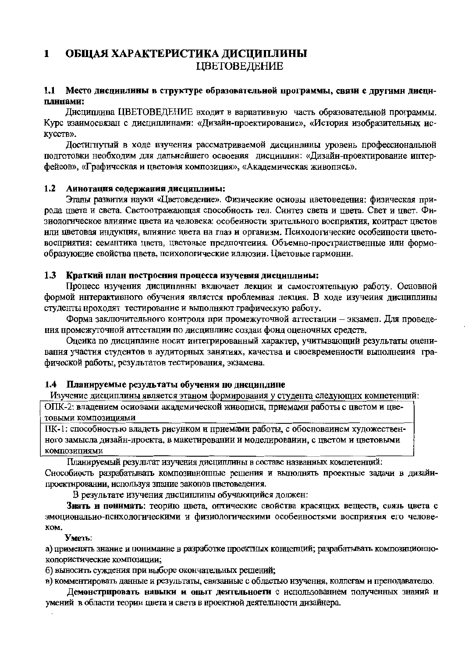#### $\mathbf{1}$ ОБЩАЯ ХАРАКТЕРИСТИКА ДИСЦИПЛИНЫ **ЦВЕТОВЕЛЕНИЕ**

#### Место дисциплины в структуре образовательной программы, связи с другими дисци- $1.1$ плинами:

Лисциплина ШВЕТОВЕЛЕНИЕ входит в вариативную часть образовательной программы. Курс взаимосвязан с дисциплинами: «Дизайн-проектирование», «История изобразительных ис-KVCCTB».

Достигнутый в ходе изучения рассматриваемой дисцинлины уровень профессиональной подготовки необходим для дальнейшего освоения дисциплин: «Дизайн-проектирование интерфейсов», «Графическая и пветовая композиция», «Акалемическая живопись»,

#### $1.2$ Аннотация содержания дисциплины:

Этапы развития науки «Пветовеление». Физические основы пветовеления: физическая природа цвета и света. Светоотражающая способность тел. Синтез света и цвета. Свет и цвет. Физиологическое влияние цвета на человека: особеиности зрительиого восприятия, коитраст цветов или цветовая индукция, влияние цвета на глаз и организм. Психологические особеиности цветовосприятия: семантика цвета, цветовые предпочтения. Объемно-простраиственные или формообразующие свойства цвета, психологические иллюзии. Цветовые гармонин.

#### Краткий план построения процесса изучения дисциплины:  $1.3$

Процесс изучения дисциплины включает лекцин и самостоятельную работу. Основной формой интерактивного обучения является проблемная лекция. В ходе изучения дисциплины студенты нроходят тестирование и выполняют графическую работу.

Форма заключительного контроля при промежуточной аттестации - экзамел. Для проведения нромежуточной аттестации по дисцинлине создаи фонд оценочных средств.

Оцеика по дисциплине носит интегрированный характер, учитывающий результаты оценивания участия студентов в аудиторных занятиях, качества и своевремениости выполнения графической работы, результатов тестирования, экзамена.

### 1.4 Планируемые результаты обучения по дисциплице

Изучение дисциплины является этаном формирования у студента следующих компетенций:

ОПК-2: владением осиовами академической живописи, приемами работы с цветом и цветовыми композициями

ПК-1: способностью владеть рисунком и приемами работы, с обосноваинем художественного замысла дизайн-проекта, в макетировании и моделироваиии, с цветом и цветовыми КОМПОЗИЦИЯМИ

Планируемый результат изучения лисциплины в составе названных компетенций:

Снособиость разрабатывать композиционные решения и выполнять проектные задачи в дизайипроектировании, используя зпание закопов цветоведения.

В результате изучения дисциплины обучающийся должен:

Знать и понимать: теорию цвета, оптические свойства красящих веществ, связь цвета с эмоциональио-психологическими и физиологическими особенностями восприятия его челове-KOM.

### Уметь:

а) применять знание и понимание в разработке проектных концепций; разрабатывать композиционноколористические композиции;

б) выносить суждения при выборе окончательных решений;

в) комментировать данные и результаты, связанные с областью изучения, коллегам и пренодавателю.

Демонстрировать навыки и опыт деятельности с использованием полученных знаний н умений в области теории цвета и света в нроектной деятельности дизайнера.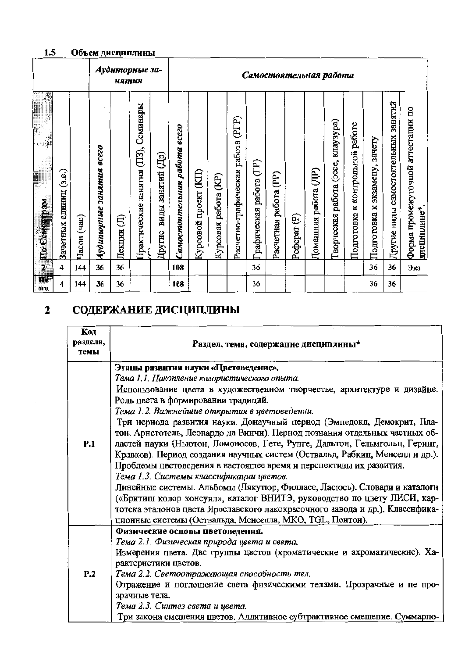#### $1.5$ Объем дисциплины

|                                      |                           |                         |                          | нятия       | Аудиторные за-                         |                             |                                        | Самостоятельная работа |                            |                                         |                         |                       |                                   |                          |                                             |                                       |                                     |                                     |                                                     |
|--------------------------------------|---------------------------|-------------------------|--------------------------|-------------|----------------------------------------|-----------------------------|----------------------------------------|------------------------|----------------------------|-----------------------------------------|-------------------------|-----------------------|-----------------------------------|--------------------------|---------------------------------------------|---------------------------------------|-------------------------------------|-------------------------------------|-----------------------------------------------------|
| 4<br>CeneerpaM<br>$\mathbf{\hat{H}}$ | (3.e.)<br>Зачетных единиц | $(\text{vac})$<br>Часов | Аудиторные занятия всего | €<br>Лекции | Семннары<br>Практические занятия (ПЗ), | виды занятий (Др)<br>Другие | <b>ecezo</b><br>Самостоятельная работа | 臣<br>Курсовой проект   | (KP)<br>работа<br>Курсовая | (PIP)<br>работа<br>Расчетно-графическая | Графическая работа (ГР) | Расчетная работа (PP) | $\widehat{\mathbf{e}}$<br>Pedepar | (III)<br>Домашняя работа | клаузура)<br>(acce,<br>работа<br>Гворческая | работе<br>к контрольной<br>Подготовка | зачету<br>экзамену,<br>Подготовка к | Другие виды самостоятельных занятий | аттестации по<br>Форма промежуточной<br>дисциплине* |
| $\overline{2}$                       | 4                         | 144                     | 36                       | 36          |                                        |                             | 108                                    |                        |                            |                                         | 36                      |                       |                                   |                          |                                             |                                       | 36                                  | 36                                  | Экз                                                 |
| IJτ.<br><b>OLO</b>                   | 4                         | 144                     | 36                       | 36          |                                        |                             | 108                                    |                        |                            |                                         | 36                      |                       |                                   |                          |                                             |                                       | 36                                  | 36                                  |                                                     |

### СОДЕРЖАНИЕ ДИСЦИПЛИНЫ  $\overline{\mathbf{2}}$

| Код<br>раздела,<br>темы | Раздел, тема, содержание дисциплины*                                                                                                                |
|-------------------------|-----------------------------------------------------------------------------------------------------------------------------------------------------|
|                         | Этапы развития науки «Цветоведение».                                                                                                                |
|                         | Тема 1.1. Накопление колористического опыта.                                                                                                        |
|                         | Использование цвета в художественном творчестве, архитектуре и дизайне.                                                                             |
|                         | Роль цвета в формировании традиций.                                                                                                                 |
|                         | Тема 1.2. Важнейшие открытия в цветоведении.                                                                                                        |
|                         | Три нериода развития науки. Донаучный период (Эмпедокл, Демокрит, Пла-                                                                              |
|                         | тон, Аристотель, Леонардо да Вничи). Пернод познания отдельных частных об-                                                                          |
| P.1                     | ластей науки (Ньютон, Ломоносов, Гете, Рунге, Дальтон, Гельмгольц, Геринг,                                                                          |
|                         | Кравков). Период создания научных систем (Оствальд, Рабкин, Менселл и др.).                                                                         |
|                         | Проблемы цветоведения в настоящее время и перспективы их развития.                                                                                  |
|                         | Тема 1.3. Системы классификации цветов.                                                                                                             |
|                         | Линейные системы. Альбомы (Лякутюр, Филласе, Ласюсь). Словари и каталоги<br>(«Бритиш колор консуил», каталог ВНИТЭ, руководство по цвету ЛИСИ, кар- |
|                         | тотека эталонов цвета Ярославского лакокрасочного завода и др.). Классифика-                                                                        |
|                         | ционные системы (Оствальда, Менселла, МКО, TGL, Понтон).                                                                                            |
|                         | Физические основы цветоведення.                                                                                                                     |
|                         | Тема 2.1. Физическая природа цвета и света.                                                                                                         |
|                         | Измерения цвета. Две грунпы цветов (хроматические и ахроматические). Ха-                                                                            |
|                         | рактернстики цветов.                                                                                                                                |
| P.2                     | Тема 2.2. Светоотражающая способность тел.                                                                                                          |
|                         | Отражение и поглощение света физическими телами. Прозрачные и не про-                                                                               |
|                         | зрачные тела.                                                                                                                                       |
|                         | Тема 2.3. Синтез света и цвета.                                                                                                                     |
|                         | Три закона смешения цветов. Аддитивное субтрактивное смешение. Суммарно-                                                                            |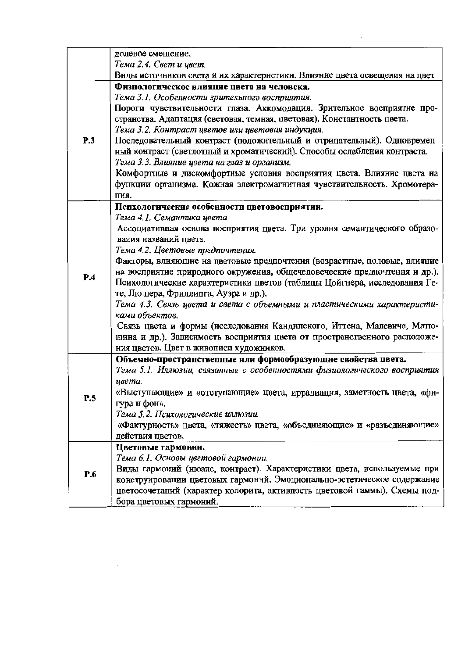|     | долевое смешение.                                                          |
|-----|----------------------------------------------------------------------------|
|     | Тема 2.4. Свет и цвет.                                                     |
|     | Виды источников света и их характеристики. Влияние цвета освещения на цвет |
|     | Физиологическое влияние цвета на человека.                                 |
|     | Тема 3.1. Особенности зрительного восприятия.                              |
|     | Пороги чувствительности глаза. Аккомодация. Зрительное восприятие про-     |
|     | странства. Адаптация (световая, темная, цветовая). Константность цвета.    |
|     | Тема 3.2. Контраст цветов или цветовая индукция.                           |
| P.3 | Последовательный контраст (положительный и отрицательный). Одновремен-     |
|     | ный контраст (светлотный и хроматический). Способы ослабления контраста.   |
|     | Тема 3.3. Влияние цвета на глаз и организм.                                |
|     | Комфортные и дискомфортные условия восприятия цвета. Влияние цвета на      |
|     | функции организма. Кожная электромагнитная чувствительность. Хромотера-    |
|     | ПИЯ.                                                                       |
|     | Психологические особенности цветовосприятия.                               |
|     | Тема 4.1. Семантика цвета                                                  |
|     | Ассоциатнвная основа восприятия цвета. Три уровня семантического образо-   |
|     | вания названий цвета.                                                      |
|     | Тема 4.2. Цветовые предпочтения.                                           |
|     | Факторы, влияющие на цветовые предпочтения (возрастные, половые, влияние   |
| P.4 | на восприятие природного окружения, общечеловеческие предпочтення и др.).  |
|     | Психологические характеристики цветов (таблицы Цойгнера, исследования Ге-  |
|     | те, Люшера, Фриллипга, Ауэра и др.).                                       |
|     | Тема 4.3. Связь цвета и света с объемными и пластическими характеристи-    |
|     | ками объектов.                                                             |
|     | Связь цвета и формы (исследования Кандипского, Иттена, Малевича, Матю-     |
|     | шина и др.). Зависимость восприятия цвета от пространственного расположе-  |
|     | ния цветов. Цвет в живописи художников.                                    |
|     | Объемно-пространственные нли формообразующие свойства цвета.               |
|     | Тема 5.1. Иллюзии, связанные с особенностями физиологического восприятия   |
|     | цвета.                                                                     |
| P.5 | «Выступающие» и «отступающие» цвета, иррадиацня, заметность цвета, «фи-    |
|     | гура н фон».                                                               |
|     | Тема 5.2. Психологические иллюзии.                                         |
|     | «Фактурность» цвета, «тяжесть» цвета, «объеднняющие» и «разъединяющие»     |
|     | действия цветов.                                                           |
|     | Цветовые гармонни.                                                         |
|     | Тема 6.1. Основы цветовой гармонии.                                        |
| P.6 | Виды гармоний (нюанс, контраст). Характеристики цвета, используемые при    |
|     | конструировании цветовых гармоннй. Эмоционально-эстетическое содержание    |
|     | цветосочетаний (характер колорита, активпость цветовой гаммы). Схемы под-  |
|     | бора цветовых гармоний.                                                    |

 $\mathcal{A}^{\text{max}}_{\text{max}}$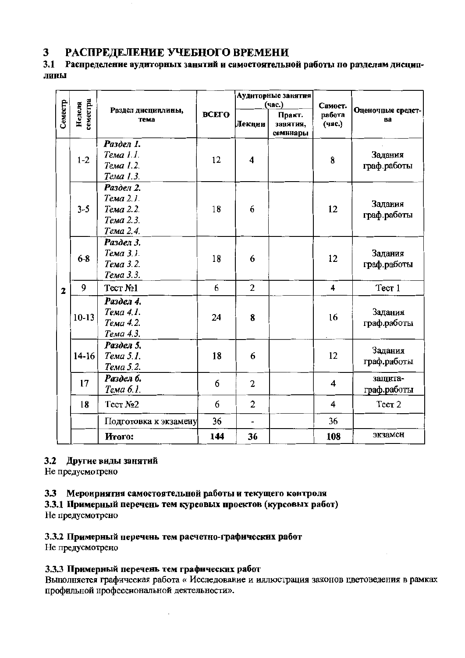#### РАСПРЕДЕЛЕНИЕ УЧЕБНОГО ВРЕМЕНИ 3

#### $3.1$ Распределение аудиторных занятий и самостоятельной работы по разделам дисциплины

|              |                    |                                                               |       |                | Аудиторные занятия<br>(час.)   | Самост.          |                         |  |
|--------------|--------------------|---------------------------------------------------------------|-------|----------------|--------------------------------|------------------|-------------------------|--|
| Семестр      | земестра<br>Неделя | Раздел дисциплины,<br>тема                                    | ВСЕГО | Лекции         | Практ.<br>занятия,<br>семинары | работа<br>(час.) | Оценочные средст-<br>Bâ |  |
|              | $1-2$              | Раздел 1.<br>Тема 1.1.<br>Тема 1.2.<br>Тема 1.3.              | 12    | 4              |                                | 8                | Задания<br>граф.работы  |  |
|              | $3 - 5$            | Раздел 2.<br>Тема 2.1.<br>Тема 2.2.<br>Тема 2.3.<br>Тема 2.4. | 18    | 6              |                                | 12               | Задания<br>граф.работы  |  |
|              | $6 - 8$            | Раздел 3.<br>Тема 3.1.<br>Тема 3.2.<br>Тема 3.3.              | 18    | 6              |                                | 12               | Задания<br>граф.работы  |  |
| $\mathbf{z}$ | 9                  | Тест №1                                                       | 6     | $\overline{2}$ |                                | 4                | Tect 1                  |  |
|              | $10-13$            | Раздел 4.<br>Тема 4.1.<br>Тема 4.2.<br>Тема 4.3.              | 24    | 8              |                                | 16               | Задания<br>граф.работы  |  |
|              | $14 - 16$          | Раздел 5.<br>Тема 5.1.<br>Тема 5.2.                           | 18    | 6              |                                | 12               | Задания<br>граф.работы  |  |
|              | 17                 | Раздел 6.<br>Тема 6.1.                                        | 6     | $\overline{2}$ |                                | 4                | защита-<br>граф.работы  |  |
|              | 18                 | Tect No <sub>2</sub>                                          | 6     | 2              |                                | 4                | Tecr <sub>2</sub>       |  |
|              |                    | Подготовка к экзамену                                         | 36    |                |                                | 36               |                         |  |
|              |                    | Итого:                                                        | 144   | 36             |                                | 108              | экзамен                 |  |

## 3.2 Другие виды занятий

Не предусмотрено

## 3.3 Меронриятия самостоятельной работы и текущего контроля

3.3.1 Примерный перечень тем курсовых проектов (курсовых работ) Не предусмотрено

# 3.3.2 Примерный перечень тем расчетно-графических работ

Не предусмотрено

## 3.3.3 Примерный перечень тем графических работ

Выполняется графическая работа « Исследование и иллюстрация законов цветоведения в рамках профильной нрофессиональной деятельности».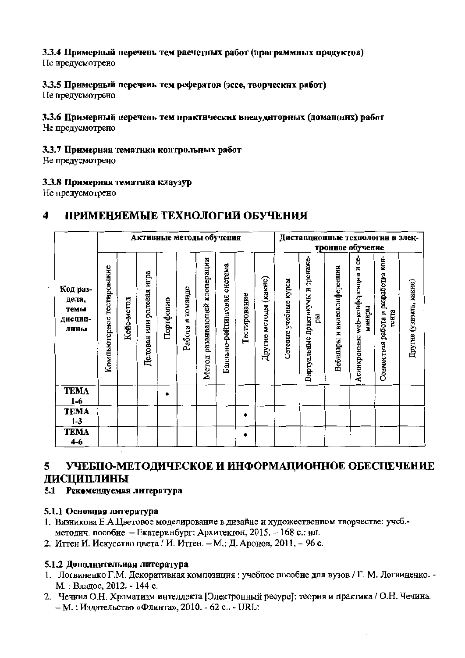# 3.3.4 Примерный перечень тем расчетных работ (программных продуктов)

Не предусмотрено

# 3.3.5 Примерный перечень тем рефератов (эссе, творческих работ)

Не предусмотрено

### 3.3.6 Примерный перечень тем практических внеаудиторных (домашних) работ Не предусмотрено

## 3.3.7 Примерная тематика контрольных работ

Не предусмотрено

# 3.3.8 Примерная тематика клаузур

Не предусмотрено

#### $\overline{\mathbf{4}}$ ПРИМЕНЯЕМЫЕ ТЕХНОЛОГИИ ОБУЧЕНИЯ

|                                              |                              | Активные методы обучения |                                |           |                         |                                 |                                |              |                       |                       |                                        |                                | Дистанционные технологин и элек-<br>тронное обучение |                                              |                         |
|----------------------------------------------|------------------------------|--------------------------|--------------------------------|-----------|-------------------------|---------------------------------|--------------------------------|--------------|-----------------------|-----------------------|----------------------------------------|--------------------------------|------------------------------------------------------|----------------------------------------------|-------------------------|
| Код раз-<br>дела,<br>темы<br>дисцип-<br>лнны | тестирование<br>Компьютерное | Кейс-метод               | HTpa<br>ролевая<br>Деловая или | Портфолко | команде<br>E,<br>Работа | развивающей кооперации<br>Метод | система<br>Балльно-рейтинговая | Гестирование | Другне методы (какие) | Сетевые учебные курсы | Виртуальные практикумы и тренаже-<br>핎 | видеоконференции<br>Вебинары и | ပ္ပ<br>жер-конференции и<br>минары<br>Асинхронные    | Совместная работа и разработка кон-<br>тента | Другне (указать, какие) |
| <b>TEMA</b><br>$1-6$                         |                              |                          |                                | $\bullet$ |                         |                                 |                                |              |                       |                       |                                        |                                |                                                      |                                              |                         |
| <b>TEMA</b><br>$1 - 3$                       |                              |                          |                                |           |                         |                                 |                                | *            |                       |                       |                                        |                                |                                                      |                                              |                         |
| <b>TEMA</b><br>$4-6$                         |                              |                          |                                |           |                         |                                 |                                | ۰            |                       |                       |                                        |                                |                                                      |                                              |                         |

#### 5 УЧЕБНО-МЕТОДИЧЕСКОЕ И ИНФОРМАЦИОННОЕ ОБЕСПЕЧЕНИЕ ЛИСПИПЛИНЫ

# 5.1 Рекомендуемая литература

# 5.1.1 Основная литература

- 1. Вязникова Е.А.Цветовое моделирование в дизайне и художественном творчестве: учеб.методич. пособие. - Екатеринбург: Архитектон, 2015. - 168 с.: ил.
- 2. Иттен И. Искусство цвета / И. Иттен. М.: Д. Аронов, 2011. 96 с.

# 5.1.2 Дополнительная литература

- 1. Логвиненко Г.М. Декоративная композиция: учебное пособие для вузов / Г.М. Логвиненко. -М.: Владос, 2012. - 144 с.
- 2. Чечина О.Н. Хроматизм интеллекта [Электронный ресурс]: теория и практика / О.Н. Чечина. - М.: Издательство «Флинта», 2010. - 62 с.. - URL: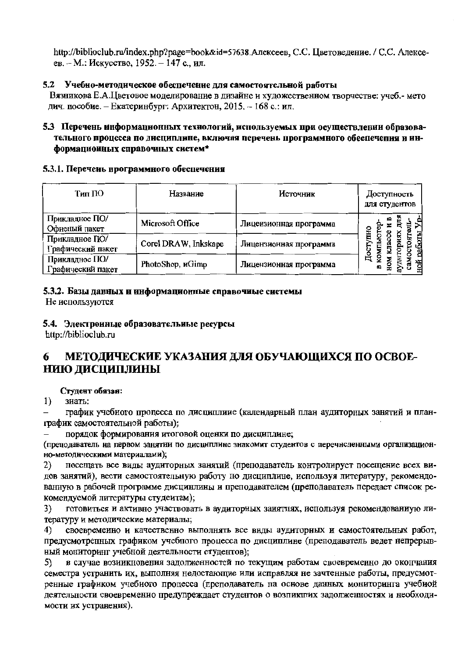http://biblioclub.ru/index.php?page=book&id=57638.Алексеев, С.С. Цветоведение. / С.С. Алексеев. – М.: Искусство, 1952. – 147 с., ил.

## 5.2 Учебно-методическое обеспечение для самостоятельной работы

Вязникова Е.А.Цветовое моделирование в дизайне и художественном творчестве: учеб.- мето дич. пособие. - Екатеринбург: Архитектон, 2015. - 168 с.: ил.

## 5.3 Перечень информационных технологий, используемых при осуществлении образовательного процесса по дисциплине, включая перечень программного обеспечения и информационных справочных систем\*

## 5.3.1. Перечень программного обеспечения

| Тип ПО                              | Название             | Источник               | Доступность<br>для студентов |
|-------------------------------------|----------------------|------------------------|------------------------------|
| Прикладное ПО/<br>Офисный пакет     | Microsoft Office     | Лицензионная программа | <b>CHIL</b>                  |
| Прикладное ПО/<br>Графический пакет | Corel DRAW, Inkskape | Лицензионная программа |                              |
| Прикладное ПО/<br>Графический пакет | PhotoShop, uGimp     | Лицензионная программа | ਖ਼ਿ<br>A                     |

## 5.3.2. Базы данных и информационные справочиые системы

Не используются

## 5.4. Электроиные образовательные ресурсы

http://biblioclub.ru

### МЕТОДИЧЕСКИЕ УКАЗАНИЯ ДЛЯ ОБУЧАЮЩИХСЯ ПО ОСВОЕ-6 НИЮ ДИСЦИПЛИНЫ

## Студент обязан:

 $1)$ зиать:

график учебиого процесса по дисциплиие (календарный план аудиторных занятий и планграфик самостоятельной работы);

порядок формирования итоговой оценки по дисциплине;

(преподаватель на первом занятии по дисциплине знакомит студентов с перечноленными организационно-методическими материалами);

посещать все виды аудиторных занятий (преподаватель контролирует посещение всех ви-2) дов занятий), вести самостоятельную работу по дисциплине, используя литературу, рекомендованную в рабочей программе дисцинлины и преподавателем (преподаватель передает список рекомендуемой литературы студентам);

готовиться и активно участвовать в аудиторных занятиях, используя рекомендованиую ли-3) тературу и методические материалы;

своевременно и качественно выполнять все внды аудиторных и самостоятельных работ, 4) предусмотренных графиком учебного процесса по дисциплине (преподаватель ведет непрерывный мониторинг учебной деятельности студентов);

в случае возиикновения задолженностей по текущим работам своевременно до окончания 5) семестра устранить их, выполняя недостающие или исправляя не зачтенные работы, предусмотренные графиком учебиого процесса (преподаватель на основе данных мониторинга учебиой деятельности своевременио предупреждает студентов о возпикших задолженностях и необходимости их устранения).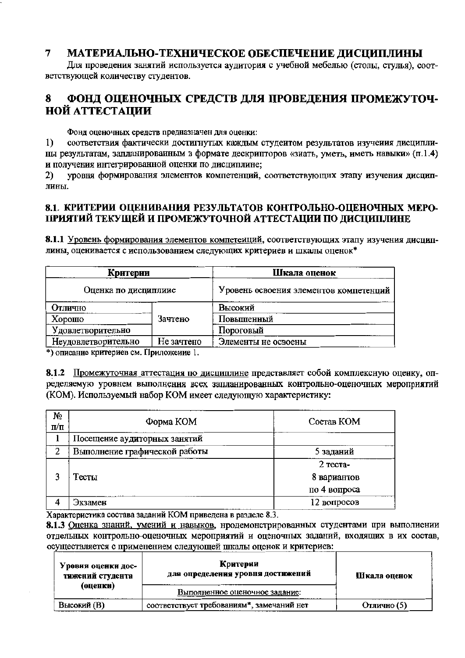#### $\overline{7}$ МАТЕРИАЛЬНО-ТЕХНИЧЕСКОЕ ОБЕСПЕЧЕНИЕ ДИСЦИПЛИНЫ

Для проведения занятий используется аудитория с учебной мебелью (столы, стулья), соответствующей количеству студентов.

#### 8 ФОНД ОПЕНОЧНЫХ СРЕДСТВ ДЛЯ ПРОВЕДЕНИЯ ПРОМЕЖУТОЧ-**НОЙ АТТЕСТАЦИИ**

Фонд оценочных средств предназначен для оценки:

соответствия фактически достигнутых каждым студеитом результатов изучения дисципли-1) ны результатам, запланированным в формате дескрипторов «зиать, уметь, иметь навыки» (п.1.4) и получения интегрированной оценки по дисциплине;

уровня формирования элементов компетенций, соответствующих этапу изучения дисцип- $2)$ лины.

## 8.1. КРИТЕРИИ ОПЕНИВАНИЯ РЕЗУЛЬТАТОВ КОНТРОЛЬНО-ОЦЕНОЧНЫХ МЕРО-ПРИЯТИЙ ТЕКУШЕЙ И ПРОМЕЖУТОЧНОЙ АТТЕСТАЦИИ ПО ДИСЦИПЛИНЕ

8.1.1 Уровень формирования элементов компетеиций, соответствующих этапу изучения дисциплины, оценивается с использованием следующих критериев и шкалы оценок\*

| Критерии             |            | Шкала оценок                           |
|----------------------|------------|----------------------------------------|
| Оценка по дисциплиие |            | Уровень освоения элементов компетенций |
| Отлично              |            | Высокий                                |
| Хорошо               | Зачтено    | Повышенный                             |
| Удовлетворительно    |            | Пороговый                              |
| Неудовлетворительно  | Не зачтено | Элементы не освоены                    |

\*) описание критериев см. Приложение 1.

8.1.2 Промежуточная аттестация по дисциплине представляет собой комплексную оценку, определяемую уровнем выполнения всех запланированных контрольно-оценочных мероприятий (КОМ). Используемый набор КОМ имеет следующую характеристику:

| No<br>$\Pi/\Pi$ | Форма КОМ                     | Состав КОМ   |
|-----------------|-------------------------------|--------------|
|                 | Посещение аудиторных занятий  |              |
| 2               | Выполнение графической работы | 5 заданий    |
|                 |                               | 2 теста-     |
|                 | Тесты                         | 8 вариантов  |
|                 |                               | по 4 вопроса |
|                 | Экзамен                       | 12 вопросов  |

Характеристика состава заданий КОМ приведена в разделе 8.3.

8.1.3 Оценка знаний, умений и навыков, нродемонстрированных студентами при выполнении отдельных контрольно-оценочных мероприятий и оценочных заданий, входящих в их состав, осуществляется с применением следующей шкалы оценок и критериев:

| Уровни оценки дос-<br>тижений студента | Критерии<br>для определения уровня достижений | Шкала оценок |
|----------------------------------------|-----------------------------------------------|--------------|
| (оценки)                               | Выполненное оценочное задание:                |              |
| Высокий (В)                            | соответствует требованиям*, замечаний нет     | Отлично (5)  |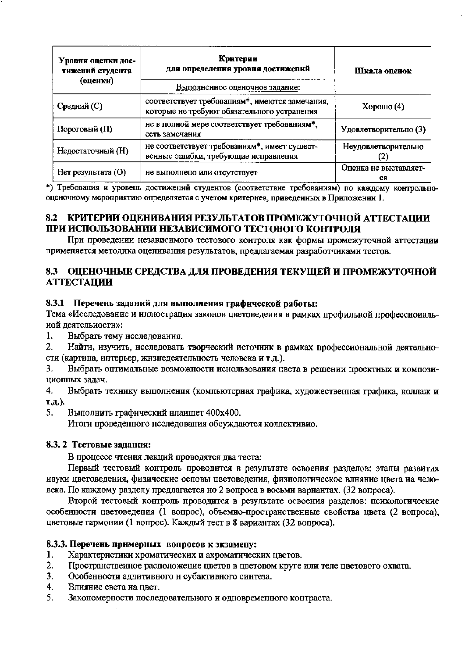| Уровни оценки дос-<br>тижений студента<br>(оценки) | Критерии<br>для определения уровня достижений<br>Выполненное оценочное задание:                            | Шкала оценок                |  |
|----------------------------------------------------|------------------------------------------------------------------------------------------------------------|-----------------------------|--|
|                                                    |                                                                                                            |                             |  |
| Средний (С)                                        | соответствует требованиям <sup>*</sup> , имеются замечания,<br>которые не требуют обязательного устранения | Хорошо $(4)$                |  |
| Пороговый (П)                                      | не в полной мере соответствует требованиям*,<br>есть замечания                                             | Удовлетворительно (3)       |  |
| Недостаточный (Н)                                  | не соответствует требованиям*, имеет сущест-<br>венные ошибки, требующие исправления                       | Неудовлетворительно         |  |
| Нет результата (О)                                 | не выполнено или отсутствует                                                                               | Оценка не выставляет-<br>CЯ |  |

\*) Требования и уровень достижений студентов (соответствие требованиям) по каждому контрольнооценочному мероприятию определяется с учетом критериев, приведенных в Приложении 1.

## 8.2 КРИТЕРИИ ОЦЕНИВАНИЯ РЕЗУЛЬТАТОВ ПРОМЕЖУТОЧНОЙ АТТЕСТАЦИИ ПРИ ИСПОЛЬЗОВАНИИ НЕЗАВИСИМОГО ТЕСТОВОГО КОНТРОЛЯ

При проведении независимого тестового контроля как формы промежуточной аттестации применяется методика оценивания результатов, предлагаемая разработчиками тестов.

## 8.3 ОЦЕНОЧНЫЕ СРЕДСТВА ДЛЯ ПРОВЕДЕНИЯ ТЕКУЩЕЙ И ПРОМЕЖУТОЧНОЙ **АТТЕСТАЦИИ**

## 8.3.1 Перечень заданий для выполнения графической работы:

Тема «Исследование и иллюстрация законов цветоведения в рамках профильной профессиональиой деятельности»:

 $\mathbf{1}$ . Выбрать тему исследования.

2. Найти, изучить, исследовать творческий источник в рамках профессиональной деятельности (картина, интерьер, жизнедеятельность человека и т.д.).

Выбрать оптимальные возможности иснользования цвета в решении проектных и компози-3. ционных задач.

4. Выбрать технику выполнения (компьютерная графика, художественная графика, коллаж и т.д.).

5. Выполнить графический нланшет 400х400.

Итоги нроведенного исследования обсуждаются коллективио.

### 8.3.2 Тестовые залания:

В процессе чтения лекций проводятся два теста:

Первый тестовый контроль проводится в результате освоения разделов: этапы развития иауки цветоведения, физические осповы цветоведения, физиологическое влияние цвета на человека. По каждому разделу предлагается но 2 вопроса в восьми вариантах. (32 вопроса).

Второй тестовый контроль проводится в результате освоения разделов: психологические особенности цветоведения (1 вопрос), объемно-пространственные свойства цвета (2 вопроса), цветовые гармонии (1 вопрос). Каждый тест в 8 вариантах (32 вопроса).

### 8.3.3. Перечень примерных вопросов к экзамену:

- Характеристики хроматических и ахроматических цветов. 1.
- $2.$ Пространствеиное расположение цветов в цветовом круге или теле цветового охвата.
- $3<sub>1</sub>$ Особенности аддитивного н субактивного синтеза.
- $\overline{4}$ . Влияние света на цвет.
- 5. Закономерности последовательного и одновремелного контраста.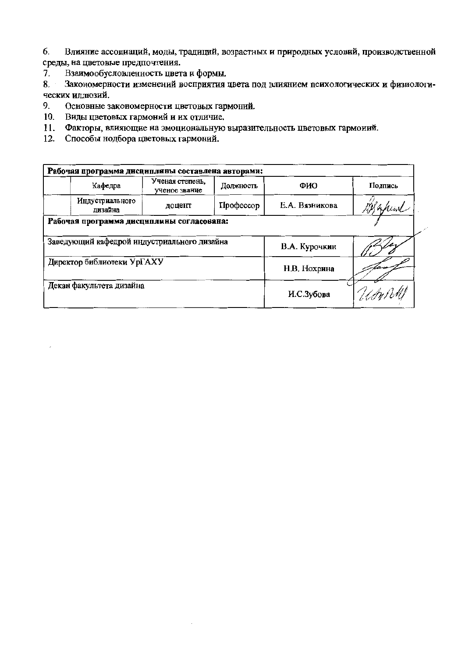Влияние ассоциаций, моды, традиций, возрастных и природных условий, производственной 6. среды, на цветовые предпочтения.

Взаимообусловленность цвета и формы. 7.

Закономерности изменений восприятия цвета под влиянием психологических и физиологи- $8.$ ческих иллюзий.

- 9. Основные закономерности цветовых гармоний.
- 10. Виды цветовых гармоний и их отличие.
- 11. Факторы, влияющие на эмоциональную выразительность цветовых гармоиий.
- 12. Способы нодбора цветовых гармоний.

| Рабочая программа дисциплины составлена авторами: |                                             |                                  |            |                |           |  |  |  |  |  |
|---------------------------------------------------|---------------------------------------------|----------------------------------|------------|----------------|-----------|--|--|--|--|--|
|                                                   | Кафедра                                     | Ученая степень,<br>ученое звание | Должность  | ФИО            | Подпись   |  |  |  |  |  |
|                                                   | Индустриального<br>лизайна                  | доцент                           | Профессор  | Е.А. Вязникова | AMAfrical |  |  |  |  |  |
| Рабочая программа дисциплины согласована:         |                                             |                                  |            |                |           |  |  |  |  |  |
|                                                   | Заведующий кафедрой индустриального дизайна |                                  |            | В.А. Курочкин  |           |  |  |  |  |  |
|                                                   | Директор библиотеки УрГАХУ                  |                                  |            | Н.В. Нохрина   |           |  |  |  |  |  |
|                                                   | Декан факультета дизайна                    |                                  | И.С.Зубова | Umphi          |           |  |  |  |  |  |